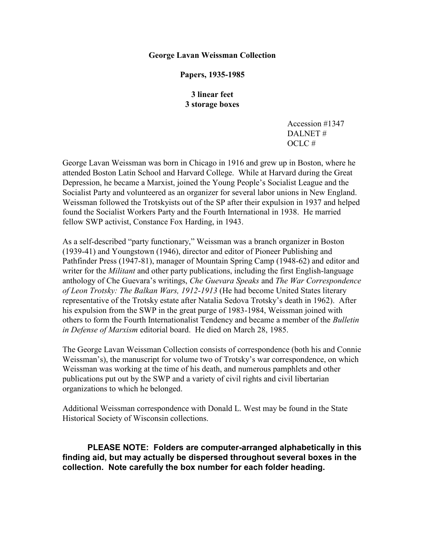#### **George Lavan Weissman Collection**

## **Papers, 1935-1985**

# **3 linear feet 3 storage boxes**

Accession #1347 DALNET # OCLC #

George Lavan Weissman was born in Chicago in 1916 and grew up in Boston, where he attended Boston Latin School and Harvard College. While at Harvard during the Great Depression, he became a Marxist, joined the Young People's Socialist League and the Socialist Party and volunteered as an organizer for several labor unions in New England. Weissman followed the Trotskyists out of the SP after their expulsion in 1937 and helped found the Socialist Workers Party and the Fourth International in 1938. He married fellow SWP activist, Constance Fox Harding, in 1943.

As a self-described "party functionary," Weissman was a branch organizer in Boston (1939-41) and Youngstown (1946), director and editor of Pioneer Publishing and Pathfinder Press (1947-81), manager of Mountain Spring Camp (1948-62) and editor and writer for the *Militant* and other party publications, including the first English-language anthology of Che Guevara's writings, *Che Guevara Speaks* and *The War Correspondence of Leon Trotsky: The Balkan Wars, 1912-1913* (He had become United States literary representative of the Trotsky estate after Natalia Sedova Trotsky's death in 1962). After his expulsion from the SWP in the great purge of 1983-1984, Weissman joined with others to form the Fourth Internationalist Tendency and became a member of the *Bulletin in Defense of Marxism* editorial board. He died on March 28, 1985.

The George Lavan Weissman Collection consists of correspondence (both his and Connie Weissman's), the manuscript for volume two of Trotsky's war correspondence, on which Weissman was working at the time of his death, and numerous pamphlets and other publications put out by the SWP and a variety of civil rights and civil libertarian organizations to which he belonged.

Additional Weissman correspondence with Donald L. West may be found in the State Historical Society of Wisconsin collections.

**PLEASE NOTE: Folders are computer-arranged alphabetically in this finding aid, but may actually be dispersed throughout several boxes in the collection. Note carefully the box number for each folder heading.**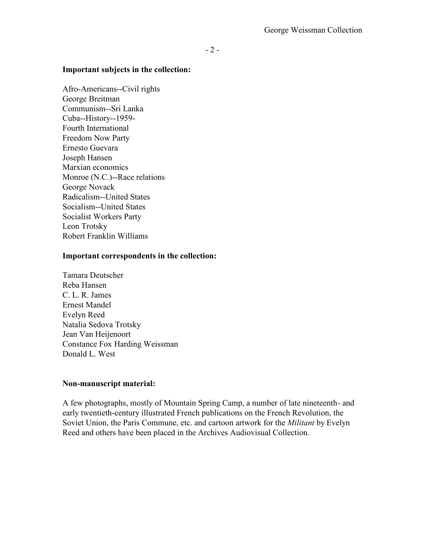#### **Important subjects in the collection:**

Afro-Americans--Civil rights George Breitman Communism--Sri Lanka Cuba--History--1959- Fourth International Freedom Now Party Ernesto Guevara Joseph Hansen Marxian economics Monroe (N.C.)--Race relations George Novack Radicalism--United States Socialism--United States Socialist Workers Party Leon Trotsky Robert Franklin Williams

## **Important correspondents in the collection:**

Tamara Deutscher Reba Hansen C. L. R. James Ernest Mandel Evelyn Reed Natalia Sedova Trotsky Jean Van Heijenoort Constance Fox Harding Weissman Donald L. West

## **Non-manuscript material:**

A few photographs, mostly of Mountain Spring Camp, a number of late nineteenth- and early twentieth-century illustrated French publications on the French Revolution, the Soviet Union, the Paris Commune, etc. and cartoon artwork for the *Militant* by Evelyn Reed and others have been placed in the Archives Audiovisual Collection.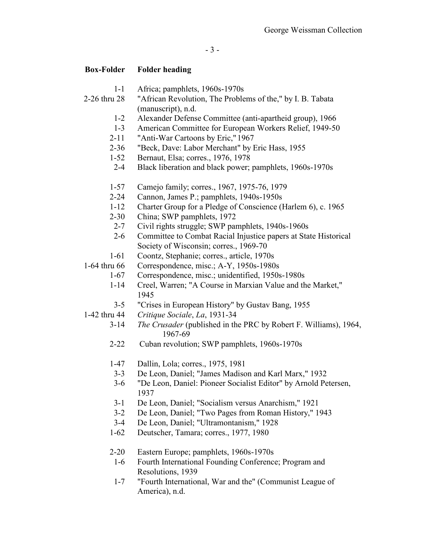- 1-1 Africa; pamphlets, 1960s-1970s
- 2-26 thru 28 "African Revolution, The Problems of the," by I. B. Tabata (manuscript), n.d.
	- 1-2 Alexander Defense Committee (anti-apartheid group), 1966
	- 1-3 American Committee for European Workers Relief, 1949-50
	- 2-11 "Anti-War Cartoons by Eric," 1967
	- 2-36 "Beck, Dave: Labor Merchant" by Eric Hass, 1955
	- 1-52 Bernaut, Elsa; corres., 1976, 1978
	- 2-4 Black liberation and black power; pamphlets, 1960s-1970s
	- 1-57 Camejo family; corres., 1967, 1975-76, 1979
	- 2-24 Cannon, James P.; pamphlets, 1940s-1950s
	- 1-12 Charter Group for a Pledge of Conscience (Harlem 6), c. 1965<br>2-30 China: SWP pamphlets. 1972
	- China; SWP pamphlets, 1972
	- 2-7 Civil rights struggle; SWP pamphlets, 1940s-1960s
	- 2-6 Committee to Combat Racial Injustice papers at State Historical Society of Wisconsin; corres., 1969-70
	- 1-61 Coontz, Stephanie; corres., article, 1970s
- 1-64 thru 66 Correspondence, misc.; A-Y, 1950s-1980s
	- 1-67 Correspondence, misc.; unidentified, 1950s-1980s
	- 1-14 Creel, Warren; "A Course in Marxian Value and the Market," 1945
	- 3-5 "Crises in European History" by Gustav Bang, 1955
- 1-42 thru 44 *Critique Sociale*, *La*, 1931-34
	- 3-14 *The Crusader* (published in the PRC by Robert F. Williams), 1964, 1967-69
	- 2-22 Cuban revolution; SWP pamphlets, 1960s-1970s
	- 1-47 Dallin, Lola; corres., 1975, 1981
	- 3-3 De Leon, Daniel; "James Madison and Karl Marx," 1932
	- 3-6 "De Leon, Daniel: Pioneer Socialist Editor" by Arnold Petersen, 1937
	- 3-1 De Leon, Daniel; "Socialism versus Anarchism," 1921
	- 3-2 De Leon, Daniel; "Two Pages from Roman History," 1943
	- 3-4 De Leon, Daniel; "Ultramontanism," 1928
	- 1-62 Deutscher, Tamara; corres., 1977, 1980
	- 2-20 Eastern Europe; pamphlets, 1960s-1970s
		- 1-6 Fourth International Founding Conference; Program and Resolutions, 1939
	- 1-7 "Fourth International, War and the" (Communist League of America), n.d.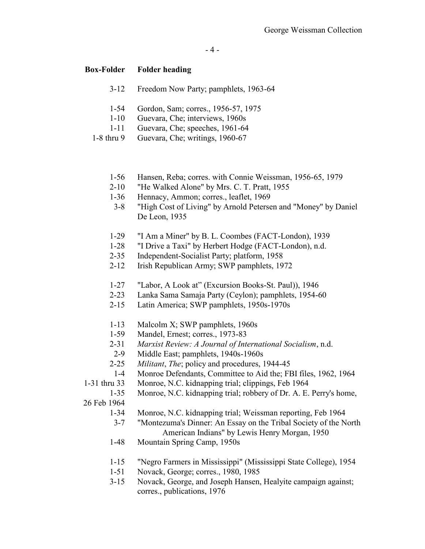- 3-12 Freedom Now Party; pamphlets, 1963-64
- 1-54 Gordon, Sam; corres., 1956-57, 1975
- 1-10 Guevara, Che; interviews, 1960s
- 1-11 Guevara, Che; speeches, 1961-64
- 1-8 thru 9 Guevara, Che; writings, 1960-67
	- 1-56 Hansen, Reba; corres. with Connie Weissman, 1956-65, 1979
	- 2-10 "He Walked Alone" by Mrs. C. T. Pratt, 1955
	- 1-36 Hennacy, Ammon; corres., leaflet, 1969
	- 3-8 "High Cost of Living" by Arnold Petersen and "Money" by Daniel De Leon, 1935
	- 1-29 "I Am a Miner" by B. L. Coombes (FACT-London), 1939
	- 1-28 "I Drive a Taxi" by Herbert Hodge (FACT-London), n.d.
	- 2-35 Independent-Socialist Party; platform, 1958
	- 2-12 Irish Republican Army; SWP pamphlets, 1972
	- 1-27 "Labor, A Look at" (Excursion Books-St. Paul)), 1946
	- 2-23 Lanka Sama Samaja Party (Ceylon); pamphlets, 1954-60
	- 2-15 Latin America; SWP pamphlets, 1950s-1970s
	- 1-13 Malcolm X; SWP pamphlets, 1960s
	- 1-59 Mandel, Ernest; corres., 1973-83
	- 2-31 *Marxist Review: A Journal of International Socialism*, n.d.
	- 2-9 Middle East; pamphlets, 1940s-1960s
	- 2-25 *Militant*, *The*; policy and procedures, 1944-45
	- 1-4 Monroe Defendants, Committee to Aid the; FBI files, 1962, 1964
- 1-31 thru 33 Monroe, N.C. kidnapping trial; clippings, Feb 1964
	- 1-35 Monroe, N.C. kidnapping trial; robbery of Dr. A. E. Perry's home,
- 26 Feb 1964
	- 1-34 Monroe, N.C. kidnapping trial; Weissman reporting, Feb 1964
	- 3-7 "Montezuma's Dinner: An Essay on the Tribal Society of the North American Indians" by Lewis Henry Morgan, 1950
	- 1-48 Mountain Spring Camp, 1950s
	- 1-15 "Negro Farmers in Mississippi" (Mississippi State College), 1954
	- 1-51 Novack, George; corres., 1980, 1985
	- 3-15 Novack, George, and Joseph Hansen, Healyite campaign against; corres., publications, 1976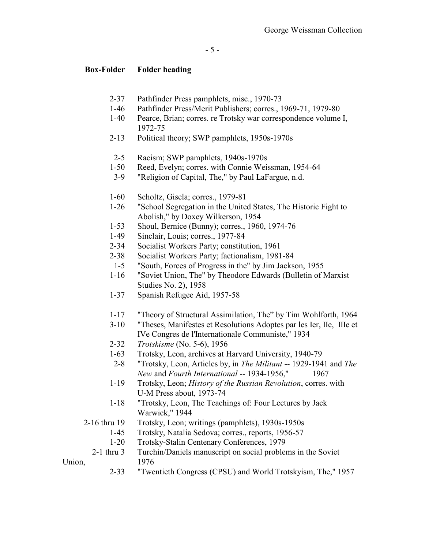- 2-37 Pathfinder Press pamphlets, misc., 1970-73
- 1-46 Pathfinder Press/Merit Publishers; corres., 1969-71, 1979-80
- 1-40 Pearce, Brian; corres. re Trotsky war correspondence volume I, 1972-75
- 2-13 Political theory; SWP pamphlets, 1950s-1970s
- 2-5 Racism; SWP pamphlets, 1940s-1970s
- 1-50 Reed, Evelyn; corres. with Connie Weissman, 1954-64
- 3-9 "Religion of Capital, The," by Paul LaFargue, n.d.
- 1-60 Scholtz, Gisela; corres., 1979-81
- 1-26 "School Segregation in the United States, The Historic Fight to Abolish," by Doxey Wilkerson, 1954
- 1-53 Shoul, Bernice (Bunny); corres., 1960, 1974-76
- 1-49 Sinclair, Louis; corres., 1977-84
- 2-34 Socialist Workers Party; constitution, 1961
- 2-38 Socialist Workers Party; factionalism, 1981-84
- 1-5 "South, Forces of Progress in the" by Jim Jackson, 1955
- 1-16 "Soviet Union, The" by Theodore Edwards (Bulletin of Marxist Studies No. 2), 1958
- 1-37 Spanish Refugee Aid, 1957-58
- 1-17 "Theory of Structural Assimilation, The" by Tim Wohlforth, 1964
- 3-10 "Theses, Manifestes et Resolutions Adoptes par les Ier, IIe, IIIe et IVe Congres de l'Internationale Communiste," 1934
- 2-32 *Trotskisme* (No. 5-6), 1956
- 1-63 Trotsky, Leon, archives at Harvard University, 1940-79
- 2-8 "Trotsky, Leon, Articles by, in *The Militant* -- 1929-1941 and *The New* and *Fourth International* -- 1934-1956," 1967
- 1-19 Trotsky, Leon; *History of the Russian Revolution*, corres. with U-M Press about, 1973-74
- 1-18 "Trotsky, Leon, The Teachings of: Four Lectures by Jack Warwick," 1944
- 2-16 thru 19 Trotsky, Leon; writings (pamphlets), 1930s-1950s
	- 1-45 Trotsky, Natalia Sedova; corres., reports, 1956-57
		- 1-20 Trotsky-Stalin Centenary Conferences, 1979
- 2-1 thru 3 Turchin/Daniels manuscript on social problems in the Soviet Union, 1976

2-33 "Twentieth Congress (CPSU) and World Trotskyism, The," 1957